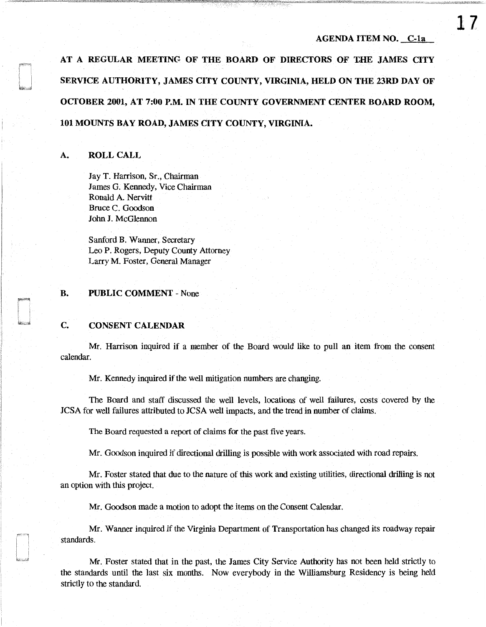AT A REGULAR MEETINC OF THE BOARD OF DIRECTORS OF LHE JAMES CITY SERVICE AUTHORITY, JAMES CITY COUNTY, VIRGINIA, HELD ON THE 23RD DAY OF OCTOBER 2001, AT 7:00 P.M. IN THE COUNTY GOVERNMENT CENTER BOARD ROOM, 101 MOUNTS BAY ROAD, JAMES CITY COUNTY, VIRGINIA.

## A. ROLL CALL

Jay T. Harrison, Sr., Chairman James G. Kennedy, Vice Chairman Ronald A. Nervitt Bruce C. Goodson John J. McGlennon

Sanford B. Wanner, Secretary Leo P. Rogers, Deputy County Attorney Larry M. Foster, General Manager

### B. PUBLIC COMMENT - None

## C. CONSENT CALENDAR

Mr. Harrison inquired if a member of the Board would like to pull an item from the consent calendar.

Mr. Kennedy inquired if the well mitigation numbers are changing.

The Board and staff discussed the well levels, locations of well failures, costs covered by the JCSA for well failures attributed to JCSA well impacts, and the trend in number of claims.

The Board requested a report of claims for the past five years.

Mr. Goodson inquired if directional drilling is possible with work associated with road repairs.

Mr. Foster stated that due to the nature of this work and existing utilities, directional drilling is not an option with this project.

Mr. Goodson made a motion to adopt the items on the Consent Calendar.

Mr. Wanner inquired if the Virginia Department of Transportation has changed its roadway repair standards.

Mr. Foster stated that in the past, the James City Service Authority has not been held strictly to the standards until the last six months. Now everybody in the Williamsburg Residency is being held strictly to the standard.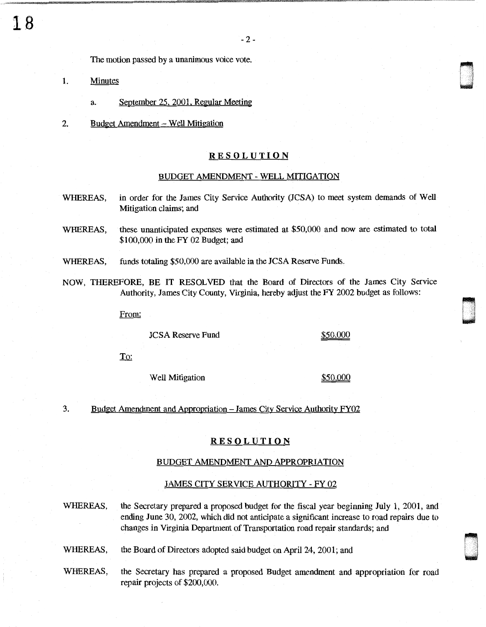The motion passed by a unanimous voice vote.

- 1. Minutes
	- a. September 25. 2001. Regular Meeting
- 2. Budget Amendment Well Mitigation

### RESOLUTION

#### BUDGET AMENDMENT - WELL MITIGATION

- WHEREAS, in order for the James City Service Authority (JCSA) to meet system demands of Well Mitigation claims; and
- WHEREAS, these unanticipated expenses were estimated at \$50,000 and now are estimated to total \$100,000 in the FY 02 Budget; and
- WHEREAS, funds totaling \$50,000 are available in the JCSA Reserve Funds.
- NOW, THEREFORE, BE IT RESOLVED that the Board of Directors of the James City Service Authority, James City County, Virginia, hereby adjust the FY 2002 budget as follows:

From:

JCSA Reserve Fund \$50,000

. 0 ' .

> n u

**To:** 

Well Mitigation  $$50,000$ 

3. Budget Amendment and Appropriation - James City Service Authority FY02

# RESOLUTION

## BUDGET AMENDMENT AND APPROPRIATION

## JAMES CITY SERVICE AUTHORITY - FY 02

WHEREAS, the Secretary prepared a proposed budget for the fiscal year beginning July 1, 2001, and ending June 30, 2002, which did not anticipate a significant increase to road repairs due to changes in Virginia Department of Transportation road repair standards; and

WHEREAS, the Board of Directors adopted said budget on April 24, 2001; and

WHEREAS, the Secretary has prepared a proposed Budget amendment and appropriation for road repair projects of \$200,000.